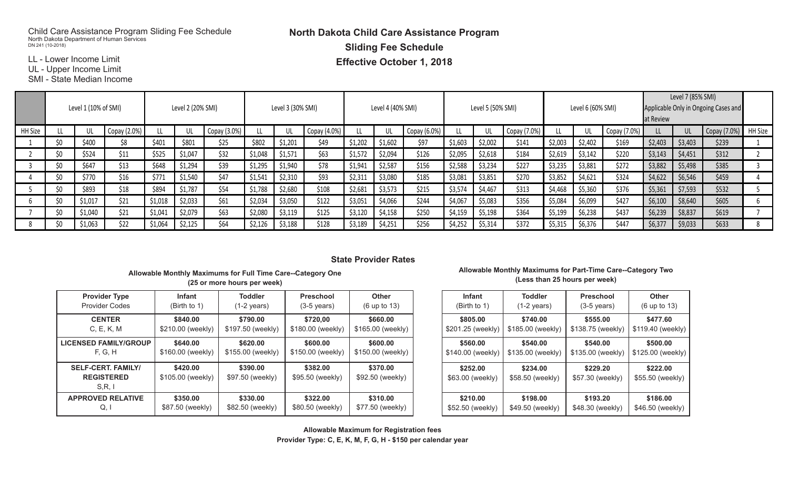## Child Care Assistance Program Sliding Fee Schedule North Dakota Department of Human Services DN 241 (10-2018)

**North Dakota Child Care Assistance Program Sliding Fee Schedule**

**Effective October 1, 2018** 

LL - Lower Income Limit

LL - Lower moonie Limit<br>UL - Upper Income Limit

SMI - State Median Income

|         | Level 1 (10% of SMI) |         |                   |         |         |                   |         |         |                   |         |         |                   |         |         |                   |         |         | Level 7 (85% SMI)                                 |         |         |              |                |
|---------|----------------------|---------|-------------------|---------|---------|-------------------|---------|---------|-------------------|---------|---------|-------------------|---------|---------|-------------------|---------|---------|---------------------------------------------------|---------|---------|--------------|----------------|
|         |                      |         | Level 2 (20% SMI) |         |         | Level 3 (30% SMI) |         |         | Level 4 (40% SMI) |         |         | Level 5 (50% SMI) |         |         | Level 6 (60% SMI) |         |         | Applicable Only in Ongoing Cases and<br>at Review |         |         |              |                |
|         |                      |         |                   |         |         |                   |         |         |                   |         |         |                   |         |         |                   |         |         |                                                   |         |         |              |                |
| HH Size |                      | UL      | Copay (2.0%)      |         |         | Copay (3.0%)      |         |         | Copay (4.0%)      | LL.     |         | Copay (6.0%)      |         |         | Copay (7.0%)      |         |         | Copay (7.0%)                                      |         | UL      | Copay (7.0%) | <b>HH Size</b> |
|         | ¢٨                   | \$400   | \$8               | \$401   | \$801   | \$25              | \$802   | \$1,201 | \$49              | \$1,202 | \$1,602 | \$97              | \$1,603 | \$2,002 | \$141             | \$2,003 | \$2,402 | \$169                                             | \$2,403 | \$3,403 | \$239        |                |
|         |                      | \$524   | \$11              | \$525   | \$1,047 | \$32              | \$1,048 | \$1,571 | \$63              | \$1,572 | \$2,094 | \$126             | \$2,095 | \$2,618 | \$184             | \$2,619 | \$3,142 | \$220                                             | \$3,143 | \$4,451 | \$312        |                |
|         |                      | \$647   | \$13              | \$648   | \$1,294 | \$39              | \$1,295 | \$1,940 | \$78              | \$1,941 | \$2,587 | \$156             | \$2,588 | \$3,234 | \$227             | \$3,235 | \$3,881 | \$272                                             | \$3,882 | \$5,498 | \$385        |                |
|         | Ś0                   | \$770   | \$16              | \$771   | \$1,540 | \$47              | \$1,541 | \$2,310 | \$93              | \$2,311 | \$3,080 | \$185             | \$3,081 | \$3,851 | \$270             | \$3,852 | \$4,621 | \$324                                             | \$4,622 | \$6,546 | \$459        |                |
|         | ¢۸                   | \$893   | \$18              | \$894   | \$1,787 | \$54              | \$1,788 | \$2,680 | \$108             | \$2,681 | \$3,573 | \$215             | \$3,574 | \$4,467 | \$313             | \$4,468 | \$5,360 | \$376                                             | \$5,361 | \$7,593 | \$532        |                |
|         |                      | \$1,017 | \$21              | \$1,018 | \$2,033 | \$61              | \$2,034 | \$3,050 | \$122             | \$3,051 | \$4,066 | \$244             | \$4,067 | \$5,083 | \$356             | \$5,084 | \$6,099 | \$427                                             | \$6,100 | \$8,640 | \$605        |                |
|         | ¢٨                   | \$1,040 | \$21              | \$1,041 | \$2,079 | \$63              | \$2,080 | \$3,119 | \$125             | \$3,120 | \$4,158 | \$250             | \$4,159 | \$5,198 | \$364             | \$5,199 | \$6,238 | \$437                                             | \$6,239 | \$8,837 | \$619        |                |
|         | \$0                  | \$1,063 | \$22              | \$1,064 | \$2,125 | \$64              | \$2,126 | \$3,188 | \$128             | \$3,189 | \$4,251 | \$256             | \$4,252 | \$5,314 | \$372             | \$5,315 | \$6,376 | \$447                                             | \$6,377 | \$9,033 | \$633        |                |

## **Allowable Monthly Maximums for Full Time Care--Category One Allowable Maximums for Part-Time Care --Category Two State Provider Rates**

### **Infant Toddler Preschool Other Infant Toddler (25 or more hours per week)** Allowable Monthly Maximums for Full Time Care--Category One **Allowable Mont**

| <b>Provider Type</b>                                    | <b>Infant</b>                 | <b>Toddler</b>               | <b>Preschool</b>             | <b>Other</b>                 | <b>Infant</b>                | <b>Toddler</b>               | Pre           |
|---------------------------------------------------------|-------------------------------|------------------------------|------------------------------|------------------------------|------------------------------|------------------------------|---------------|
| <b>Provider Codes</b>                                   | (Birth to 1)                  | $(1-2 \text{ years})$        | $(3-5 \text{ years})$        | (6 up to 13)                 | (Birth to 1)                 | $(1-2 \text{ years})$        | $(3-5)$       |
| <b>CENTER</b>                                           | \$840.00                      | \$790.00                     | \$720.00                     | \$660.00                     | \$805,00                     | \$740.00                     | \$5           |
| C, E, K, M                                              | \$210.00 (weekly)             | \$197.50 (weekly)            | \$180.00 (weekly)            | \$165.00 (weekly)            | \$201.25 (weekly)            | \$185.00 (weekly)            | \$138.7       |
| <b>LICENSED FAMILY/GROUP</b>                            | \$640.00                      | \$620.00                     | \$600.00                     | \$600.00                     | \$560.00                     | \$540.00                     | \$5           |
| F, G, H                                                 | \$160.00 (weekly)             | \$155.00 (weekly)            | \$150.00 (weekly)            | \$150.00 (weekly)            | \$140.00 (weekly)            | \$135.00 (weekly)            | \$135.0       |
| <b>SELF-CERT. FAMILY/</b><br><b>REGISTERED</b><br>S.R.1 | \$420.00<br>\$105.00 (weekly) | \$390.00<br>\$97.50 (weekly) | \$382.00<br>\$95.50 (weekly) | \$370.00<br>\$92.50 (weekly) | \$252.00<br>\$63.00 (weekly) | \$234.00<br>\$58.50 (weekly) | \$2<br>\$57.3 |
| <b>APPROVED RELATIVE</b>                                | \$350.00                      | \$330,00                     | \$322.00                     | \$310,00                     | \$210.00                     | \$198.00                     | \$1           |
| Q, I                                                    | \$87.50 (weekly)              | \$82.50 (weekly)             | \$80.50 (weekly)             | \$77.50 (weekly)             | \$52.50 (weekly)             | \$49.50 (weekly)             | \$48.3        |

#### **Preschool Other (Less than 25 hours per week) Allowable Monthly Maximums for Part-Time Care--Category Two**

| Infant            | <b>Toddler</b>        | <b>Preschool</b>      | <b>Other</b>      |
|-------------------|-----------------------|-----------------------|-------------------|
| (Birth to 1)      | $(1-2 \text{ years})$ | $(3-5 \text{ years})$ | (6 up to 13)      |
| \$805.00          | \$740.00              | \$555.00              | \$477.60          |
| \$201.25 (weekly) | \$185.00 (weekly)     | \$138.75 (weekly)     | \$119.40 (weekly) |
| \$560.00          | \$540.00              | \$540.00              | \$500.00          |
| \$140.00 (weekly) | \$135.00 (weekly)     | \$135.00 (weekly)     | \$125.00 (weekly) |
| \$252.00          | \$234.00              | \$229.20              | \$222.00          |
| \$63.00 (weekly)  | \$58.50 (weekly)      | \$57.30 (weekly)      | \$55.50 (weekly)  |
| \$210.00          | \$198.00              | \$193.20              | \$186.00          |
| \$52.50 (weekly)  | \$49.50 (weekly)      | \$48.30 (weekly)      | \$46.50 (weekly)  |